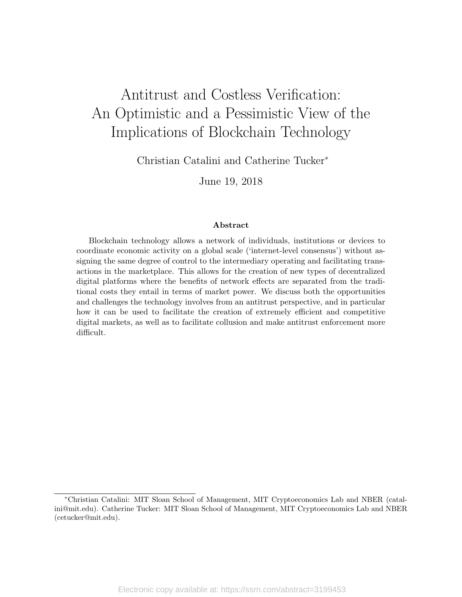## Antitrust and Costless Verification: An Optimistic and a Pessimistic View of the Implications of Blockchain Technology

Christian Catalini and Catherine Tucker<sup>∗</sup>

June 19, 2018

#### Abstract

Blockchain technology allows a network of individuals, institutions or devices to coordinate economic activity on a global scale ('internet-level consensus') without assigning the same degree of control to the intermediary operating and facilitating transactions in the marketplace. This allows for the creation of new types of decentralized digital platforms where the benefits of network effects are separated from the traditional costs they entail in terms of market power. We discuss both the opportunities and challenges the technology involves from an antitrust perspective, and in particular how it can be used to facilitate the creation of extremely efficient and competitive digital markets, as well as to facilitate collusion and make antitrust enforcement more difficult.

<sup>∗</sup>Christian Catalini: MIT Sloan School of Management, MIT Cryptoeconomics Lab and NBER (catalini@mit.edu). Catherine Tucker: MIT Sloan School of Management, MIT Cryptoeconomics Lab and NBER (cetucker@mit.edu).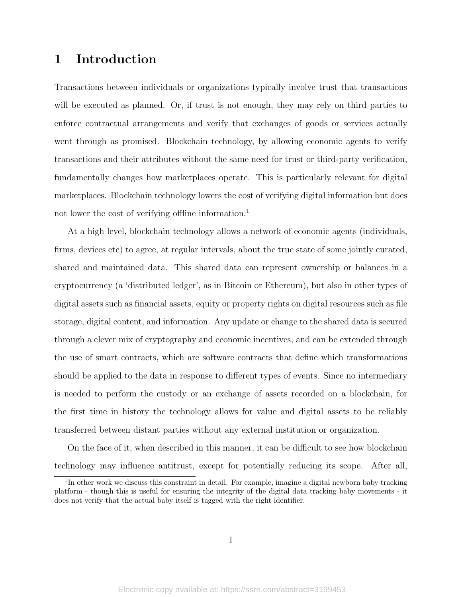### 1 Introduction

Transactions between individuals or organizations typically involve trust that transactions will be executed as planned. Or, if trust is not enough, they may rely on third parties to enforce contractual arrangements and verify that exchanges of goods or services actually went through as promised. Blockchain technology, by allowing economic agents to verify transactions and their attributes without the same need for trust or third-party verification, fundamentally changes how marketplaces operate. This is particularly relevant for digital marketplaces. Blockchain technology lowers the cost of verifying digital information but does not lower the cost of verifying offline information.<sup>1</sup>

At a high level, blockchain technology allows a network of economic agents (individuals, firms, devices etc) to agree, at regular intervals, about the true state of some jointly curated, shared and maintained data. This shared data can represent ownership or balances in a cryptocurrency (a 'distributed ledger', as in Bitcoin or Ethereum), but also in other types of digital assets such as financial assets, equity or property rights on digital resources such as file storage, digital content, and information. Any update or change to the shared data is secured through a clever mix of cryptography and economic incentives, and can be extended through the use of smart contracts, which are software contracts that define which transformations should be applied to the data in response to different types of events. Since no intermediary is needed to perform the custody or an exchange of assets recorded on a blockchain, for the first time in history the technology allows for value and digital assets to be reliably transferred between distant parties without any external institution or organization.

On the face of it, when described in this manner, it can be difficult to see how blockchain technology may influence antitrust, except for potentially reducing its scope. After all,

<sup>&</sup>lt;sup>1</sup>In other work we discuss this constraint in detail. For example, imagine a digital newborn baby tracking platform - though this is useful for ensuring the integrity of the digital data tracking baby movements - it does not verify that the actual baby itself is tagged with the right identifier.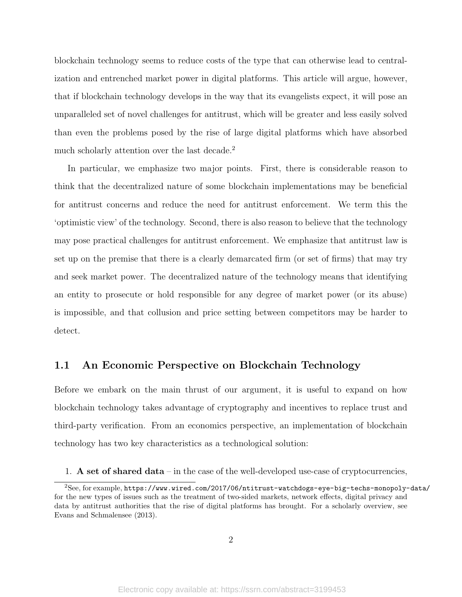blockchain technology seems to reduce costs of the type that can otherwise lead to centralization and entrenched market power in digital platforms. This article will argue, however, that if blockchain technology develops in the way that its evangelists expect, it will pose an unparalleled set of novel challenges for antitrust, which will be greater and less easily solved than even the problems posed by the rise of large digital platforms which have absorbed much scholarly attention over the last decade.<sup>2</sup>

In particular, we emphasize two major points. First, there is considerable reason to think that the decentralized nature of some blockchain implementations may be beneficial for antitrust concerns and reduce the need for antitrust enforcement. We term this the 'optimistic view' of the technology. Second, there is also reason to believe that the technology may pose practical challenges for antitrust enforcement. We emphasize that antitrust law is set up on the premise that there is a clearly demarcated firm (or set of firms) that may try and seek market power. The decentralized nature of the technology means that identifying an entity to prosecute or hold responsible for any degree of market power (or its abuse) is impossible, and that collusion and price setting between competitors may be harder to detect.

#### 1.1 An Economic Perspective on Blockchain Technology

Before we embark on the main thrust of our argument, it is useful to expand on how blockchain technology takes advantage of cryptography and incentives to replace trust and third-party verification. From an economics perspective, an implementation of blockchain technology has two key characteristics as a technological solution:

<sup>1.</sup> A set of shared data – in the case of the well-developed use-case of cryptocurrencies,

<sup>2</sup>See, for example, https://www.wired.com/2017/06/ntitrust-watchdogs-eye-big-techs-monopoly-data/ for the new types of issues such as the treatment of two-sided markets, network effects, digital privacy and data by antitrust authorities that the rise of digital platforms has brought. For a scholarly overview, see Evans and Schmalensee (2013).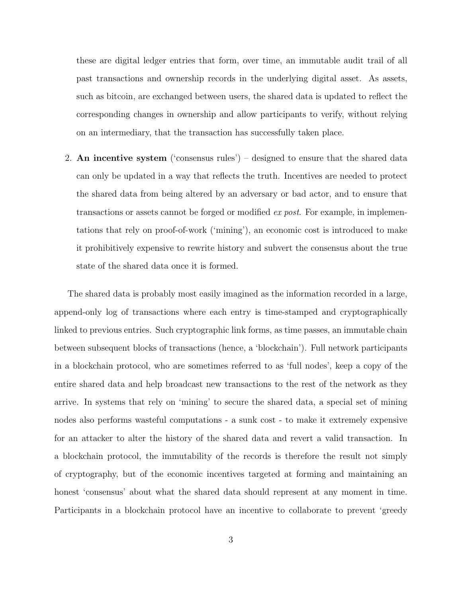these are digital ledger entries that form, over time, an immutable audit trail of all past transactions and ownership records in the underlying digital asset. As assets, such as bitcoin, are exchanged between users, the shared data is updated to reflect the corresponding changes in ownership and allow participants to verify, without relying on an intermediary, that the transaction has successfully taken place.

2. An incentive system ('consensus rules') – designed to ensure that the shared data can only be updated in a way that reflects the truth. Incentives are needed to protect the shared data from being altered by an adversary or bad actor, and to ensure that transactions or assets cannot be forged or modified ex post. For example, in implementations that rely on proof-of-work ('mining'), an economic cost is introduced to make it prohibitively expensive to rewrite history and subvert the consensus about the true state of the shared data once it is formed.

The shared data is probably most easily imagined as the information recorded in a large, append-only log of transactions where each entry is time-stamped and cryptographically linked to previous entries. Such cryptographic link forms, as time passes, an immutable chain between subsequent blocks of transactions (hence, a 'blockchain'). Full network participants in a blockchain protocol, who are sometimes referred to as 'full nodes', keep a copy of the entire shared data and help broadcast new transactions to the rest of the network as they arrive. In systems that rely on 'mining' to secure the shared data, a special set of mining nodes also performs wasteful computations - a sunk cost - to make it extremely expensive for an attacker to alter the history of the shared data and revert a valid transaction. In a blockchain protocol, the immutability of the records is therefore the result not simply of cryptography, but of the economic incentives targeted at forming and maintaining an honest 'consensus' about what the shared data should represent at any moment in time. Participants in a blockchain protocol have an incentive to collaborate to prevent 'greedy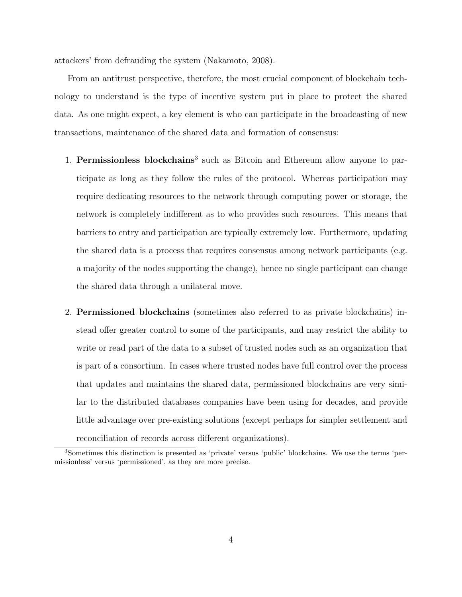attackers' from defrauding the system (Nakamoto, 2008).

From an antitrust perspective, therefore, the most crucial component of blockchain technology to understand is the type of incentive system put in place to protect the shared data. As one might expect, a key element is who can participate in the broadcasting of new transactions, maintenance of the shared data and formation of consensus:

- 1. Permissionless blockchains<sup>3</sup> such as Bitcoin and Ethereum allow anyone to participate as long as they follow the rules of the protocol. Whereas participation may require dedicating resources to the network through computing power or storage, the network is completely indifferent as to who provides such resources. This means that barriers to entry and participation are typically extremely low. Furthermore, updating the shared data is a process that requires consensus among network participants (e.g. a majority of the nodes supporting the change), hence no single participant can change the shared data through a unilateral move.
- 2. Permissioned blockchains (sometimes also referred to as private blockchains) instead offer greater control to some of the participants, and may restrict the ability to write or read part of the data to a subset of trusted nodes such as an organization that is part of a consortium. In cases where trusted nodes have full control over the process that updates and maintains the shared data, permissioned blockchains are very similar to the distributed databases companies have been using for decades, and provide little advantage over pre-existing solutions (except perhaps for simpler settlement and reconciliation of records across different organizations).

<sup>3</sup>Sometimes this distinction is presented as 'private' versus 'public' blockchains. We use the terms 'permissionless' versus 'permissioned', as they are more precise.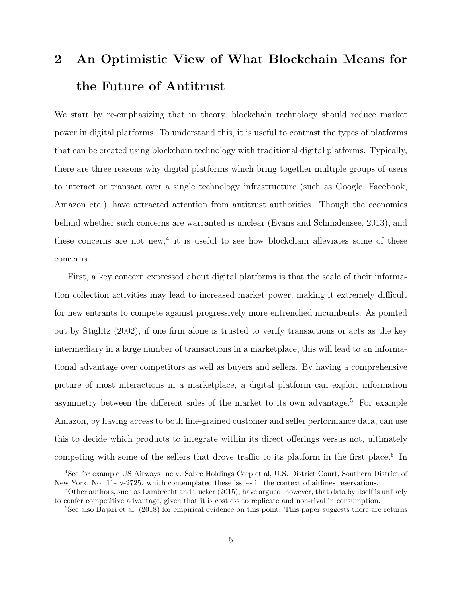# 2 An Optimistic View of What Blockchain Means for the Future of Antitrust

We start by re-emphasizing that in theory, blockchain technology should reduce market power in digital platforms. To understand this, it is useful to contrast the types of platforms that can be created using blockchain technology with traditional digital platforms. Typically, there are three reasons why digital platforms which bring together multiple groups of users to interact or transact over a single technology infrastructure (such as Google, Facebook, Amazon etc.) have attracted attention from antitrust authorities. Though the economics behind whether such concerns are warranted is unclear (Evans and Schmalensee, 2013), and these concerns are not new,<sup>4</sup> it is useful to see how blockchain alleviates some of these concerns.

First, a key concern expressed about digital platforms is that the scale of their information collection activities may lead to increased market power, making it extremely difficult for new entrants to compete against progressively more entrenched incumbents. As pointed out by Stiglitz (2002), if one firm alone is trusted to verify transactions or acts as the key intermediary in a large number of transactions in a marketplace, this will lead to an informational advantage over competitors as well as buyers and sellers. By having a comprehensive picture of most interactions in a marketplace, a digital platform can exploit information asymmetry between the different sides of the market to its own advantage.<sup>5</sup> For example Amazon, by having access to both fine-grained customer and seller performance data, can use this to decide which products to integrate within its direct offerings versus not, ultimately competing with some of the sellers that drove traffic to its platform in the first place.<sup>6</sup> In

<sup>4</sup>See for example US Airways Inc v. Sabre Holdings Corp et al, U.S. District Court, Southern District of New York, No. 11-cv-2725. which contemplated these issues in the context of airlines reservations.

 $5$ Other authors, such as Lambrecht and Tucker (2015), have argued, however, that data by itself is unlikely to confer competitive advantage, given that it is costless to replicate and non-rival in consumption.

 ${}^{6}$ See also Bajari et al. (2018) for empirical evidence on this point. This paper suggests there are returns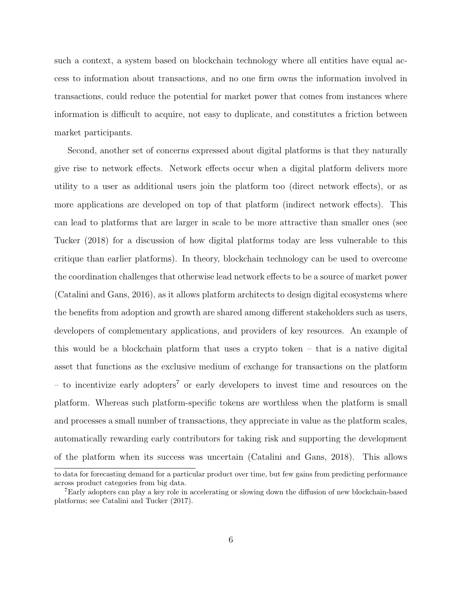such a context, a system based on blockchain technology where all entities have equal access to information about transactions, and no one firm owns the information involved in transactions, could reduce the potential for market power that comes from instances where information is difficult to acquire, not easy to duplicate, and constitutes a friction between market participants.

Second, another set of concerns expressed about digital platforms is that they naturally give rise to network effects. Network effects occur when a digital platform delivers more utility to a user as additional users join the platform too (direct network effects), or as more applications are developed on top of that platform (indirect network effects). This can lead to platforms that are larger in scale to be more attractive than smaller ones (see Tucker (2018) for a discussion of how digital platforms today are less vulnerable to this critique than earlier platforms). In theory, blockchain technology can be used to overcome the coordination challenges that otherwise lead network effects to be a source of market power (Catalini and Gans, 2016), as it allows platform architects to design digital ecosystems where the benefits from adoption and growth are shared among different stakeholders such as users, developers of complementary applications, and providers of key resources. An example of this would be a blockchain platform that uses a crypto token – that is a native digital asset that functions as the exclusive medium of exchange for transactions on the platform – to incentivize early adopters<sup>7</sup> or early developers to invest time and resources on the platform. Whereas such platform-specific tokens are worthless when the platform is small and processes a small number of transactions, they appreciate in value as the platform scales, automatically rewarding early contributors for taking risk and supporting the development of the platform when its success was uncertain (Catalini and Gans, 2018). This allows

to data for forecasting demand for a particular product over time, but few gains from predicting performance across product categories from big data.

<sup>7</sup>Early adopters can play a key role in accelerating or slowing down the diffusion of new blockchain-based platforms; see Catalini and Tucker (2017).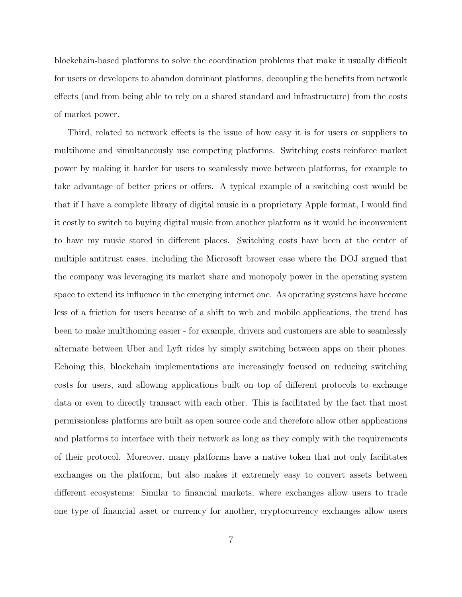blockchain-based platforms to solve the coordination problems that make it usually difficult for users or developers to abandon dominant platforms, decoupling the benefits from network effects (and from being able to rely on a shared standard and infrastructure) from the costs of market power.

Third, related to network effects is the issue of how easy it is for users or suppliers to multihome and simultaneously use competing platforms. Switching costs reinforce market power by making it harder for users to seamlessly move between platforms, for example to take advantage of better prices or offers. A typical example of a switching cost would be that if I have a complete library of digital music in a proprietary Apple format, I would find it costly to switch to buying digital music from another platform as it would be inconvenient to have my music stored in different places. Switching costs have been at the center of multiple antitrust cases, including the Microsoft browser case where the DOJ argued that the company was leveraging its market share and monopoly power in the operating system space to extend its influence in the emerging internet one. As operating systems have become less of a friction for users because of a shift to web and mobile applications, the trend has been to make multihoming easier - for example, drivers and customers are able to seamlessly alternate between Uber and Lyft rides by simply switching between apps on their phones. Echoing this, blockchain implementations are increasingly focused on reducing switching costs for users, and allowing applications built on top of different protocols to exchange data or even to directly transact with each other. This is facilitated by the fact that most permissionless platforms are built as open source code and therefore allow other applications and platforms to interface with their network as long as they comply with the requirements of their protocol. Moreover, many platforms have a native token that not only facilitates exchanges on the platform, but also makes it extremely easy to convert assets between different ecosystems: Similar to financial markets, where exchanges allow users to trade one type of financial asset or currency for another, cryptocurrency exchanges allow users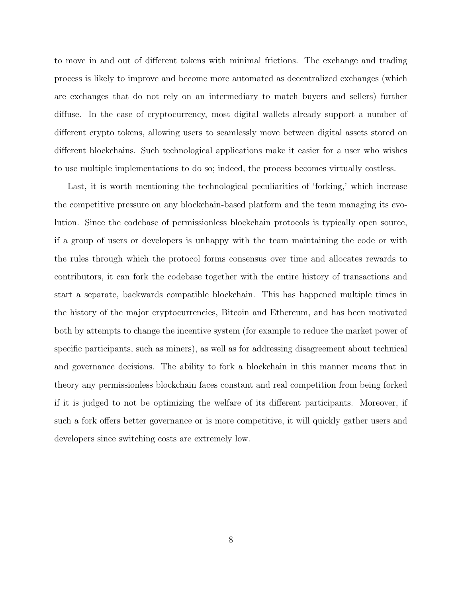to move in and out of different tokens with minimal frictions. The exchange and trading process is likely to improve and become more automated as decentralized exchanges (which are exchanges that do not rely on an intermediary to match buyers and sellers) further diffuse. In the case of cryptocurrency, most digital wallets already support a number of different crypto tokens, allowing users to seamlessly move between digital assets stored on different blockchains. Such technological applications make it easier for a user who wishes to use multiple implementations to do so; indeed, the process becomes virtually costless.

Last, it is worth mentioning the technological peculiarities of 'forking,' which increase the competitive pressure on any blockchain-based platform and the team managing its evolution. Since the codebase of permissionless blockchain protocols is typically open source, if a group of users or developers is unhappy with the team maintaining the code or with the rules through which the protocol forms consensus over time and allocates rewards to contributors, it can fork the codebase together with the entire history of transactions and start a separate, backwards compatible blockchain. This has happened multiple times in the history of the major cryptocurrencies, Bitcoin and Ethereum, and has been motivated both by attempts to change the incentive system (for example to reduce the market power of specific participants, such as miners), as well as for addressing disagreement about technical and governance decisions. The ability to fork a blockchain in this manner means that in theory any permissionless blockchain faces constant and real competition from being forked if it is judged to not be optimizing the welfare of its different participants. Moreover, if such a fork offers better governance or is more competitive, it will quickly gather users and developers since switching costs are extremely low.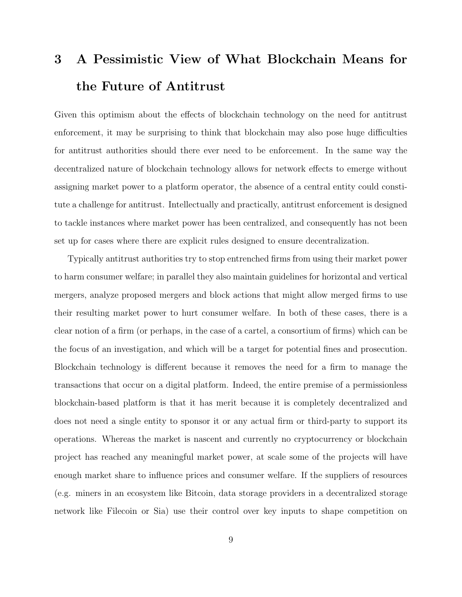# 3 A Pessimistic View of What Blockchain Means for the Future of Antitrust

Given this optimism about the effects of blockchain technology on the need for antitrust enforcement, it may be surprising to think that blockchain may also pose huge difficulties for antitrust authorities should there ever need to be enforcement. In the same way the decentralized nature of blockchain technology allows for network effects to emerge without assigning market power to a platform operator, the absence of a central entity could constitute a challenge for antitrust. Intellectually and practically, antitrust enforcement is designed to tackle instances where market power has been centralized, and consequently has not been set up for cases where there are explicit rules designed to ensure decentralization.

Typically antitrust authorities try to stop entrenched firms from using their market power to harm consumer welfare; in parallel they also maintain guidelines for horizontal and vertical mergers, analyze proposed mergers and block actions that might allow merged firms to use their resulting market power to hurt consumer welfare. In both of these cases, there is a clear notion of a firm (or perhaps, in the case of a cartel, a consortium of firms) which can be the focus of an investigation, and which will be a target for potential fines and prosecution. Blockchain technology is different because it removes the need for a firm to manage the transactions that occur on a digital platform. Indeed, the entire premise of a permissionless blockchain-based platform is that it has merit because it is completely decentralized and does not need a single entity to sponsor it or any actual firm or third-party to support its operations. Whereas the market is nascent and currently no cryptocurrency or blockchain project has reached any meaningful market power, at scale some of the projects will have enough market share to influence prices and consumer welfare. If the suppliers of resources (e.g. miners in an ecosystem like Bitcoin, data storage providers in a decentralized storage network like Filecoin or Sia) use their control over key inputs to shape competition on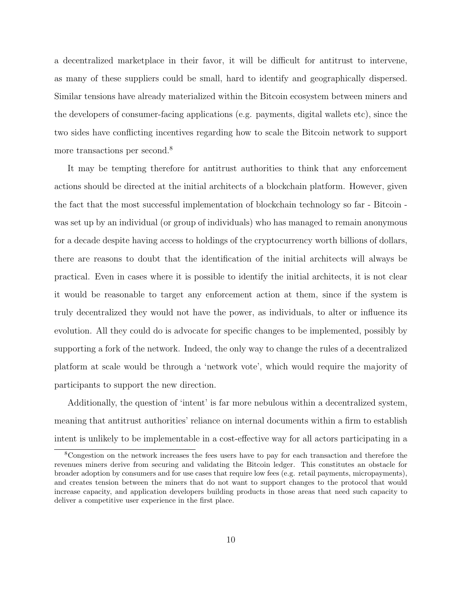a decentralized marketplace in their favor, it will be difficult for antitrust to intervene, as many of these suppliers could be small, hard to identify and geographically dispersed. Similar tensions have already materialized within the Bitcoin ecosystem between miners and the developers of consumer-facing applications (e.g. payments, digital wallets etc), since the two sides have conflicting incentives regarding how to scale the Bitcoin network to support more transactions per second.<sup>8</sup>

It may be tempting therefore for antitrust authorities to think that any enforcement actions should be directed at the initial architects of a blockchain platform. However, given the fact that the most successful implementation of blockchain technology so far - Bitcoin was set up by an individual (or group of individuals) who has managed to remain anonymous for a decade despite having access to holdings of the cryptocurrency worth billions of dollars, there are reasons to doubt that the identification of the initial architects will always be practical. Even in cases where it is possible to identify the initial architects, it is not clear it would be reasonable to target any enforcement action at them, since if the system is truly decentralized they would not have the power, as individuals, to alter or influence its evolution. All they could do is advocate for specific changes to be implemented, possibly by supporting a fork of the network. Indeed, the only way to change the rules of a decentralized platform at scale would be through a 'network vote', which would require the majority of participants to support the new direction.

Additionally, the question of 'intent' is far more nebulous within a decentralized system, meaning that antitrust authorities' reliance on internal documents within a firm to establish intent is unlikely to be implementable in a cost-effective way for all actors participating in a

<sup>8</sup>Congestion on the network increases the fees users have to pay for each transaction and therefore the revenues miners derive from securing and validating the Bitcoin ledger. This constitutes an obstacle for broader adoption by consumers and for use cases that require low fees (e.g. retail payments, micropayments), and creates tension between the miners that do not want to support changes to the protocol that would increase capacity, and application developers building products in those areas that need such capacity to deliver a competitive user experience in the first place.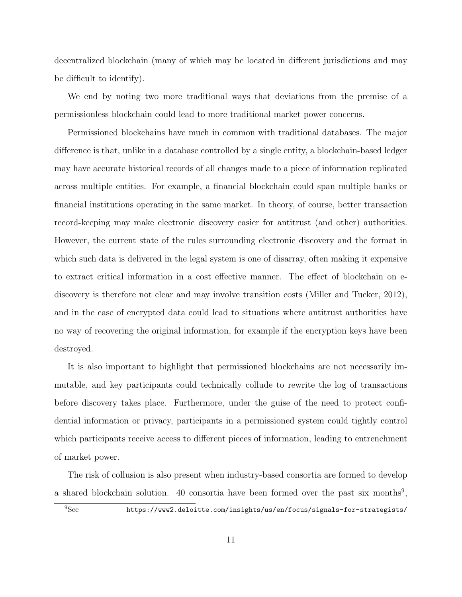decentralized blockchain (many of which may be located in different jurisdictions and may be difficult to identify).

We end by noting two more traditional ways that deviations from the premise of a permissionless blockchain could lead to more traditional market power concerns.

Permissioned blockchains have much in common with traditional databases. The major difference is that, unlike in a database controlled by a single entity, a blockchain-based ledger may have accurate historical records of all changes made to a piece of information replicated across multiple entities. For example, a financial blockchain could span multiple banks or financial institutions operating in the same market. In theory, of course, better transaction record-keeping may make electronic discovery easier for antitrust (and other) authorities. However, the current state of the rules surrounding electronic discovery and the format in which such data is delivered in the legal system is one of disarray, often making it expensive to extract critical information in a cost effective manner. The effect of blockchain on ediscovery is therefore not clear and may involve transition costs (Miller and Tucker, 2012), and in the case of encrypted data could lead to situations where antitrust authorities have no way of recovering the original information, for example if the encryption keys have been destroyed.

It is also important to highlight that permissioned blockchains are not necessarily immutable, and key participants could technically collude to rewrite the log of transactions before discovery takes place. Furthermore, under the guise of the need to protect confidential information or privacy, participants in a permissioned system could tightly control which participants receive access to different pieces of information, leading to entrenchment of market power.

The risk of collusion is also present when industry-based consortia are formed to develop a shared blockchain solution. 40 consortia have been formed over the past six months<sup>9</sup>,

<sup>9</sup>See https://www2.deloitte.com/insights/us/en/focus/signals-for-strategists/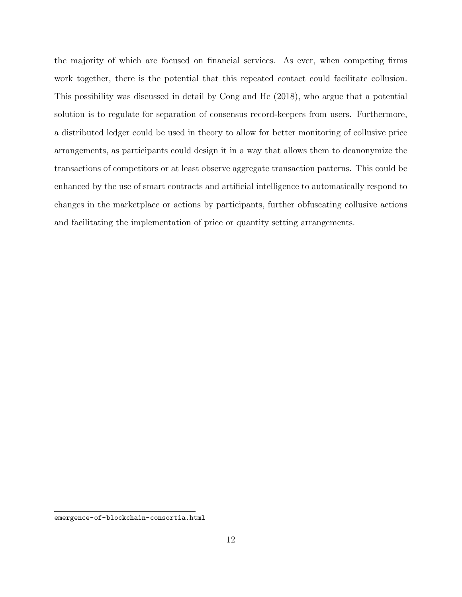the majority of which are focused on financial services. As ever, when competing firms work together, there is the potential that this repeated contact could facilitate collusion. This possibility was discussed in detail by Cong and He (2018), who argue that a potential solution is to regulate for separation of consensus record-keepers from users. Furthermore, a distributed ledger could be used in theory to allow for better monitoring of collusive price arrangements, as participants could design it in a way that allows them to deanonymize the transactions of competitors or at least observe aggregate transaction patterns. This could be enhanced by the use of smart contracts and artificial intelligence to automatically respond to changes in the marketplace or actions by participants, further obfuscating collusive actions and facilitating the implementation of price or quantity setting arrangements.

emergence-of-blockchain-consortia.html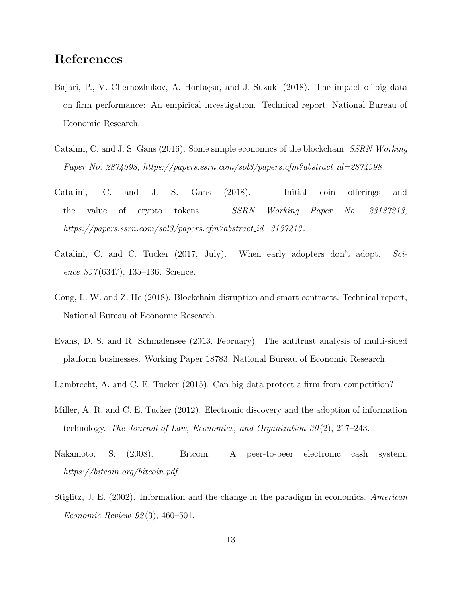### References

- Bajari, P., V. Chernozhukov, A. Hortaçsu, and J. Suzuki (2018). The impact of big data on firm performance: An empirical investigation. Technical report, National Bureau of Economic Research.
- Catalini, C. and J. S. Gans (2016). Some simple economics of the blockchain. SSRN Working Paper No. 2874598, https://papers.ssrn.com/sol3/papers.cfm?abstract\_id=2874598.
- Catalini, C. and J. S. Gans (2018). Initial coin offerings and the value of crypto tokens. SSRN Working Paper No. 23137213, https://papers.ssrn.com/sol3/papers.cfm?abstract\_id=3137213.
- Catalini, C. and C. Tucker (2017, July). When early adopters don't adopt. Science 357(6347), 135–136. Science.
- Cong, L. W. and Z. He (2018). Blockchain disruption and smart contracts. Technical report, National Bureau of Economic Research.
- Evans, D. S. and R. Schmalensee (2013, February). The antitrust analysis of multi-sided platform businesses. Working Paper 18783, National Bureau of Economic Research.
- Lambrecht, A. and C. E. Tucker (2015). Can big data protect a firm from competition?
- Miller, A. R. and C. E. Tucker (2012). Electronic discovery and the adoption of information technology. The Journal of Law, Economics, and Organization  $30(2)$ , 217–243.
- Nakamoto, S. (2008). Bitcoin: A peer-to-peer electronic cash system. https://bitcoin.org/bitcoin.pdf .
- Stiglitz, J. E. (2002). Information and the change in the paradigm in economics. American Economic Review 92 (3), 460–501.